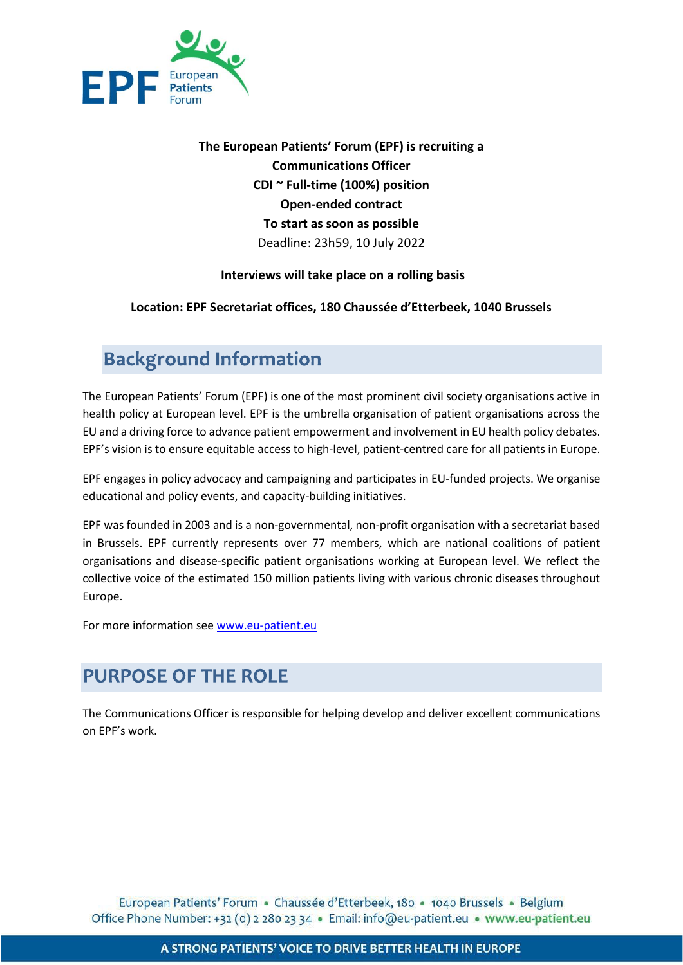

**The European Patients' Forum (EPF) is recruiting a Communications Officer CDI ~ Full-time (100%) position Open-ended contract To start as soon as possible** Deadline: 23h59, 10 July 2022

### **Interviews will take place on a rolling basis**

### **Location: EPF Secretariat offices, 180 Chaussée d'Etterbeek, 1040 Brussels**

## **Background Information**

The European Patients' Forum (EPF) is one of the most prominent civil society organisations active in health policy at European level. EPF is the umbrella organisation of patient organisations across the EU and a driving force to advance patient empowerment and involvement in EU health policy debates. EPF's vision is to ensure equitable access to high-level, patient-centred care for all patients in Europe.

EPF engages in policy advocacy and campaigning and participates in EU-funded projects. We organise educational and policy events, and capacity-building initiatives.

EPF was founded in 2003 and is a non-governmental, non-profit organisation with a secretariat based in Brussels. EPF currently represents over 77 members, which are national coalitions of patient organisations and disease-specific patient organisations working at European level. We reflect the collective voice of the estimated 150 million patients living with various chronic diseases throughout Europe.

For more information see [www.eu-patient.eu](http://www.eu-patient.eu/)

## **PURPOSE OF THE ROLE**

The Communications Officer is responsible for helping develop and deliver excellent communications on EPF's work.

European Patients' Forum · Chaussée d'Etterbeek, 180 · 1040 Brussels · Belgium Office Phone Number: +32 (0) 2 280 23 34 · Email: info@eu-patient.eu · www.eu-patient.eu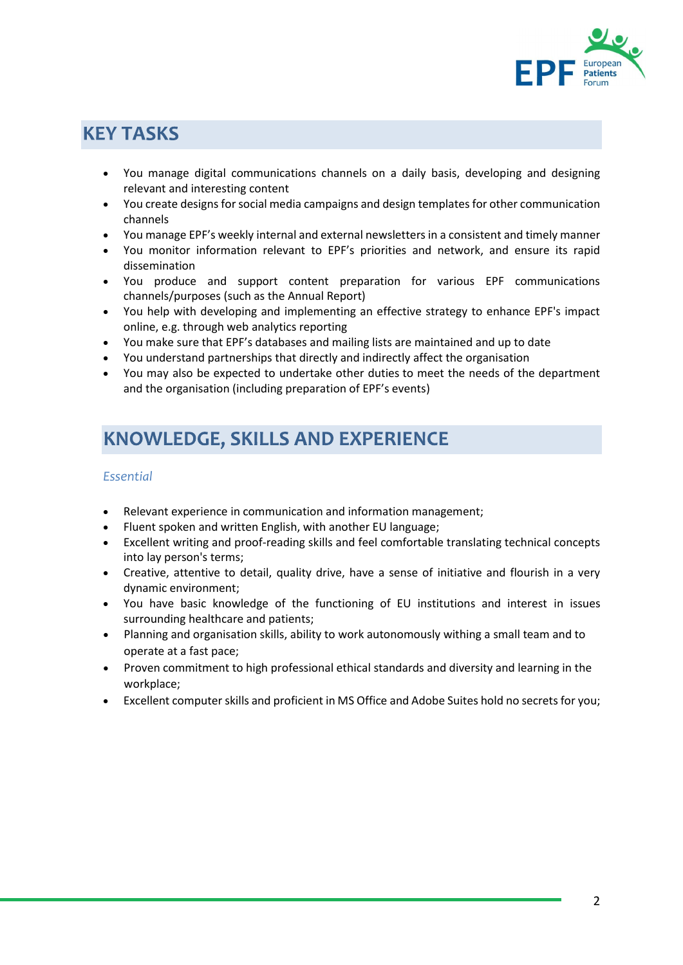

## **KEY TASKS**

- You manage digital communications channels on a daily basis, developing and designing relevant and interesting content
- You create designs for social media campaigns and design templates for other communication channels
- You manage EPF's weekly internal and external newsletters in a consistent and timely manner
- You monitor information relevant to EPF's priorities and network, and ensure its rapid dissemination
- You produce and support content preparation for various EPF communications channels/purposes (such as the Annual Report)
- You help with developing and implementing an effective strategy to enhance EPF's impact online, e.g. through web analytics reporting
- You make sure that EPF's databases and mailing lists are maintained and up to date
- You understand partnerships that directly and indirectly affect the organisation
- You may also be expected to undertake other duties to meet the needs of the department and the organisation (including preparation of EPF's events)

## **KNOWLEDGE, SKILLS AND EXPERIENCE**

### *Essential*

- Relevant experience in communication and information management;
- Fluent spoken and written English, with another EU language;
- Excellent writing and proof-reading skills and feel comfortable translating technical concepts into lay person's terms;
- Creative, attentive to detail, quality drive, have a sense of initiative and flourish in a very dynamic environment;
- You have basic knowledge of the functioning of EU institutions and interest in issues surrounding healthcare and patients;
- Planning and organisation skills, ability to work autonomously withing a small team and to operate at a fast pace;
- Proven commitment to high professional ethical standards and diversity and learning in the workplace;
- Excellent computer skills and proficient in MS Office and Adobe Suites hold no secrets for you;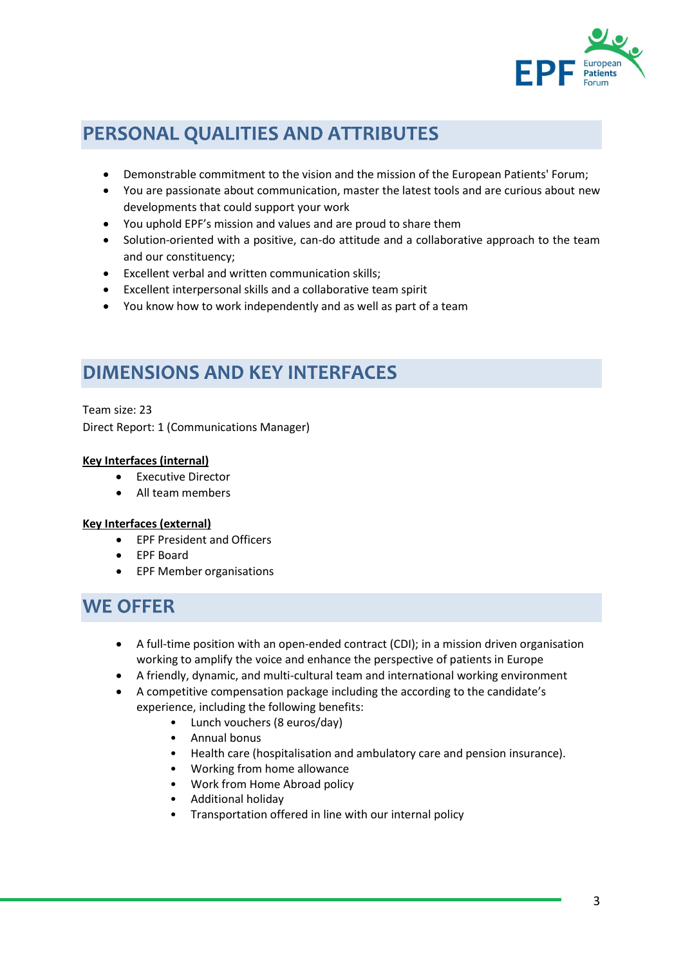

# PERSONAL QUALITIES AND ATTRIBUTES

- Demonstrable commitment to the vision and the mission of the European Patients' Forum;
- You are passionate about communication, master the latest tools and are curious about new developments that could support your work
- You uphold EPF's mission and values and are proud to share them
- Solution-oriented with a positive, can-do attitude and a collaborative approach to the team and our constituency;
- Excellent verbal and written communication skills;
- Excellent interpersonal skills and a collaborative team spirit
- You know how to work independently and as well as part of a team

## **DIMENSIONS AND KEY INTERFACES**

Team size: 23 Direct Report: 1 (Communications Manager)

### **Key Interfaces (internal)**

- Executive Director
- All team members

### **Key Interfaces (external)**

- EPF President and Officers
- EPF Board
- EPF Member organisations

### **WE OFFER**

- A full-time position with an open-ended contract (CDI); in a mission driven organisation working to amplify the voice and enhance the perspective of patients in Europe
- A friendly, dynamic, and multi-cultural team and international working environment
- A competitive compensation package including the according to the candidate's experience, including the following benefits:
	- Lunch vouchers (8 euros/day)
	- Annual bonus
	- Health care (hospitalisation and ambulatory care and pension insurance).
	- Working from home allowance
	- Work from Home Abroad policy
	- Additional holiday
	- Transportation offered in line with our internal policy